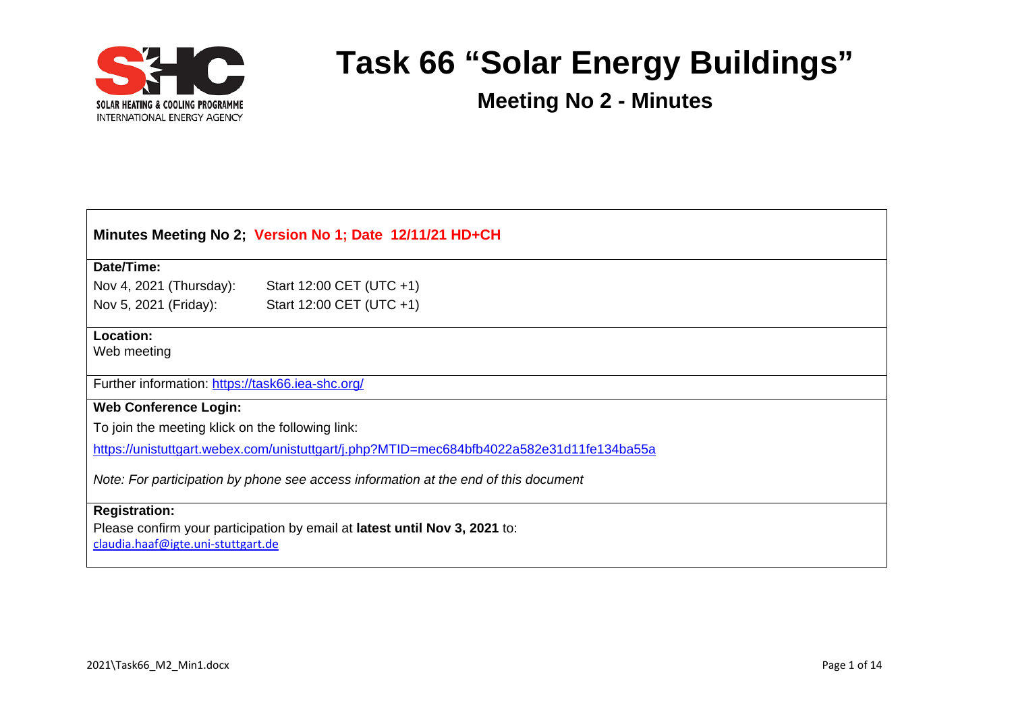

| Minutes Meeting No 2; Version No 1; Date 12/11/21 HD+CH                                                                                  |                          |  |  |
|------------------------------------------------------------------------------------------------------------------------------------------|--------------------------|--|--|
| Date/Time:                                                                                                                               |                          |  |  |
| Nov 4, 2021 (Thursday):                                                                                                                  | Start 12:00 CET (UTC +1) |  |  |
| Nov 5, 2021 (Friday):                                                                                                                    | Start 12:00 CET (UTC +1) |  |  |
| Location:<br>Web meeting                                                                                                                 |                          |  |  |
| Further information: https://task66.iea-shc.org/                                                                                         |                          |  |  |
| <b>Web Conference Login:</b>                                                                                                             |                          |  |  |
| To join the meeting klick on the following link:                                                                                         |                          |  |  |
| https://unistuttgart.webex.com/unistuttgart/j.php?MTID=mec684bfb4022a582e31d11fe134ba55a                                                 |                          |  |  |
| Note: For participation by phone see access information at the end of this document                                                      |                          |  |  |
| <b>Registration:</b><br>Please confirm your participation by email at latest until Nov 3, 2021 to:<br>claudia.haaf@igte.uni-stuttgart.de |                          |  |  |
|                                                                                                                                          |                          |  |  |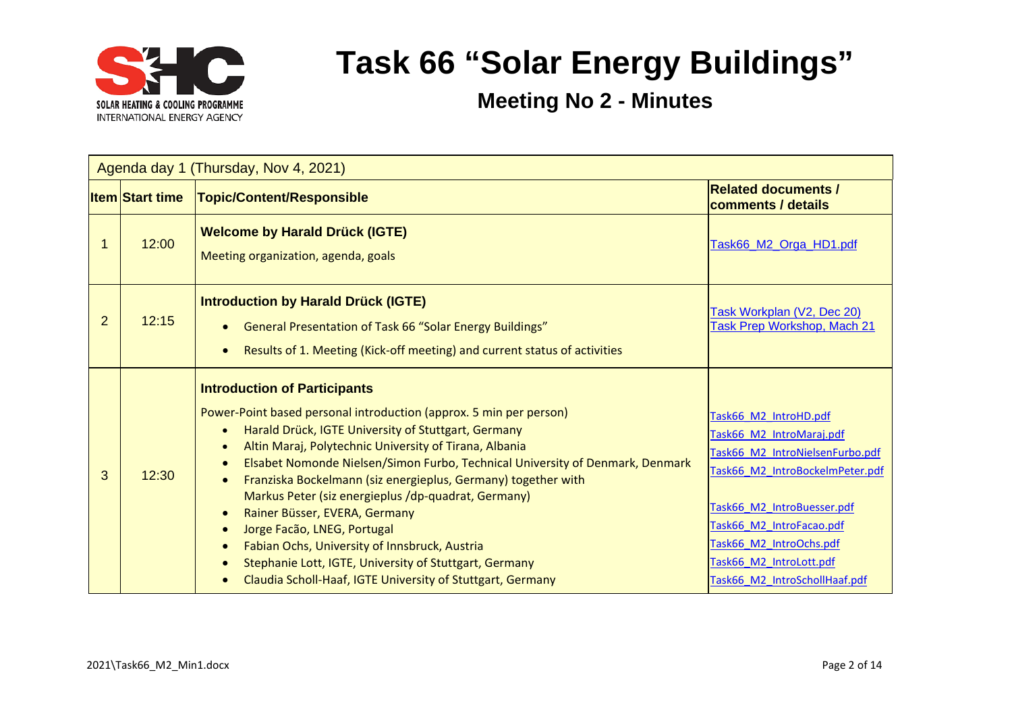

|   | Agenda day 1 (Thursday, Nov 4, 2021) |                                                                                                                                                                                                                                                                                                                                                                                                                                                                                                                                                                                                                                                                                                                                                                                      |                                                                                                                                                                                                                                                                          |  |
|---|--------------------------------------|--------------------------------------------------------------------------------------------------------------------------------------------------------------------------------------------------------------------------------------------------------------------------------------------------------------------------------------------------------------------------------------------------------------------------------------------------------------------------------------------------------------------------------------------------------------------------------------------------------------------------------------------------------------------------------------------------------------------------------------------------------------------------------------|--------------------------------------------------------------------------------------------------------------------------------------------------------------------------------------------------------------------------------------------------------------------------|--|
|   | <u>ltem Start time</u>               | Topic/Content/Responsible                                                                                                                                                                                                                                                                                                                                                                                                                                                                                                                                                                                                                                                                                                                                                            | <b>Related documents /</b><br>comments / details                                                                                                                                                                                                                         |  |
|   | 12:00                                | <b>Welcome by Harald Drück (IGTE)</b><br>Meeting organization, agenda, goals                                                                                                                                                                                                                                                                                                                                                                                                                                                                                                                                                                                                                                                                                                         | Task66_M2_Orga_HD1.pdf                                                                                                                                                                                                                                                   |  |
| 2 | 12:15                                | <b>Introduction by Harald Drück (IGTE)</b><br>General Presentation of Task 66 "Solar Energy Buildings"<br>Results of 1. Meeting (Kick-off meeting) and current status of activities<br>$\bullet$                                                                                                                                                                                                                                                                                                                                                                                                                                                                                                                                                                                     | Task Workplan (V2, Dec 20)<br>Task Prep Workshop, Mach 21                                                                                                                                                                                                                |  |
| 3 | 12:30                                | <b>Introduction of Participants</b><br>Power-Point based personal introduction (approx. 5 min per person)<br>Harald Drück, IGTE University of Stuttgart, Germany<br>$\bullet$<br>Altin Maraj, Polytechnic University of Tirana, Albania<br>$\bullet$<br>Elsabet Nomonde Nielsen/Simon Furbo, Technical University of Denmark, Denmark<br>$\bullet$<br>Franziska Bockelmann (siz energieplus, Germany) together with<br>$\bullet$<br>Markus Peter (siz energieplus /dp-quadrat, Germany)<br>Rainer Büsser, EVERA, Germany<br>$\bullet$<br>Jorge Facão, LNEG, Portugal<br>$\bullet$<br>Fabian Ochs, University of Innsbruck, Austria<br>$\bullet$<br>Stephanie Lott, IGTE, University of Stuttgart, Germany<br>$\bullet$<br>Claudia Scholl-Haaf, IGTE University of Stuttgart, Germany | Task66 M2 IntroHD.pdf<br>Task66 M2 IntroMaraj.pdf<br>Task66 M2 IntroNielsenFurbo.pdf<br>Task66 M2 IntroBockelmPeter.pdf<br>Task66 M2 IntroBuesser.pdf<br>Task66 M2 IntroFacao.pdf<br>Task66 M2 IntroOchs.pdf<br>Task66 M2 IntroLott.pdf<br>Task66 M2 IntroSchollHaaf.pdf |  |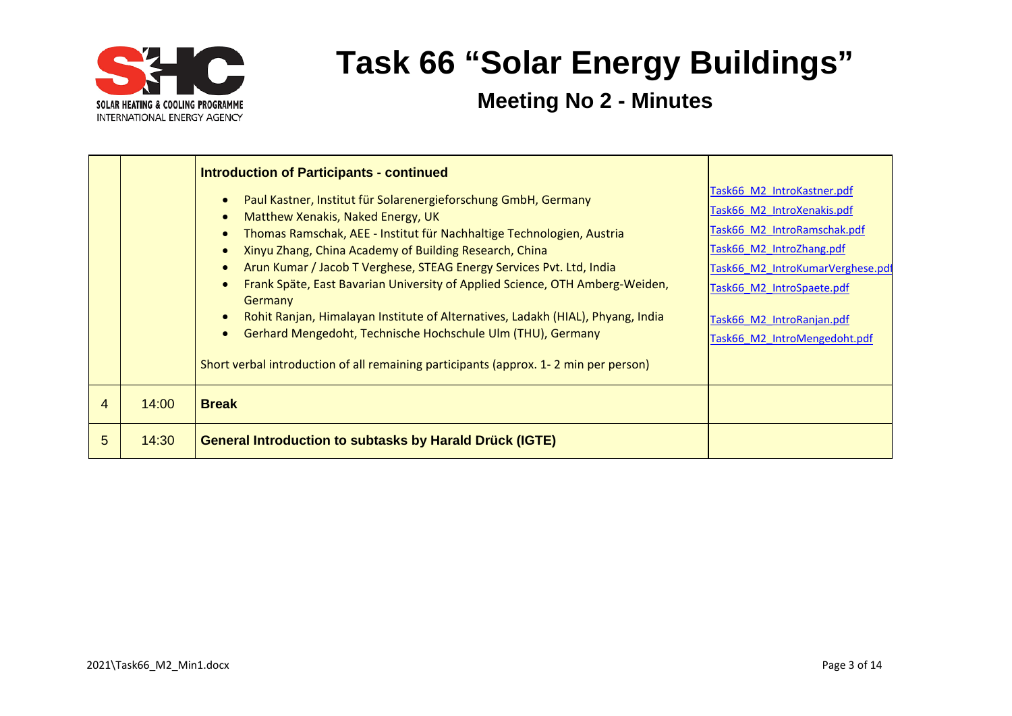

|   |       | <b>Introduction of Participants - continued</b>                                                                                                                                                                                                                                                                                                                                                                                                                                                                                                                                                                                                                                                                                                             |                                                                                                                                                                                                                                                   |
|---|-------|-------------------------------------------------------------------------------------------------------------------------------------------------------------------------------------------------------------------------------------------------------------------------------------------------------------------------------------------------------------------------------------------------------------------------------------------------------------------------------------------------------------------------------------------------------------------------------------------------------------------------------------------------------------------------------------------------------------------------------------------------------------|---------------------------------------------------------------------------------------------------------------------------------------------------------------------------------------------------------------------------------------------------|
|   |       | Paul Kastner, Institut für Solarenergieforschung GmbH, Germany<br>$\bullet$<br>Matthew Xenakis, Naked Energy, UK<br>$\bullet$<br>Thomas Ramschak, AEE - Institut für Nachhaltige Technologien, Austria<br>$\bullet$<br>Xinyu Zhang, China Academy of Building Research, China<br>$\bullet$<br>Arun Kumar / Jacob T Verghese, STEAG Energy Services Pvt. Ltd, India<br>$\bullet$<br>Frank Späte, East Bavarian University of Applied Science, OTH Amberg-Weiden,<br>$\bullet$<br>Germany<br>Rohit Ranjan, Himalayan Institute of Alternatives, Ladakh (HIAL), Phyang, India<br>$\bullet$<br>Gerhard Mengedoht, Technische Hochschule Ulm (THU), Germany<br>$\bullet$<br>Short verbal introduction of all remaining participants (approx. 1-2 min per person) | Task66 M2 IntroKastner.pdf<br>Task66 M2 IntroXenakis.pdf<br>Task66 M2 IntroRamschak.pdf<br>Task66 M2 IntroZhang.pdf<br>Task66 M2 IntroKumarVerghese.pdf<br>Task66_M2_IntroSpaete.pdf<br>Task66 M2 IntroRanjan.pdf<br>Task66 M2 IntroMengedoht.pdf |
| 4 | 14:00 | <b>Break</b>                                                                                                                                                                                                                                                                                                                                                                                                                                                                                                                                                                                                                                                                                                                                                |                                                                                                                                                                                                                                                   |
| 5 | 14:30 | <b>General Introduction to subtasks by Harald Drück (IGTE)</b>                                                                                                                                                                                                                                                                                                                                                                                                                                                                                                                                                                                                                                                                                              |                                                                                                                                                                                                                                                   |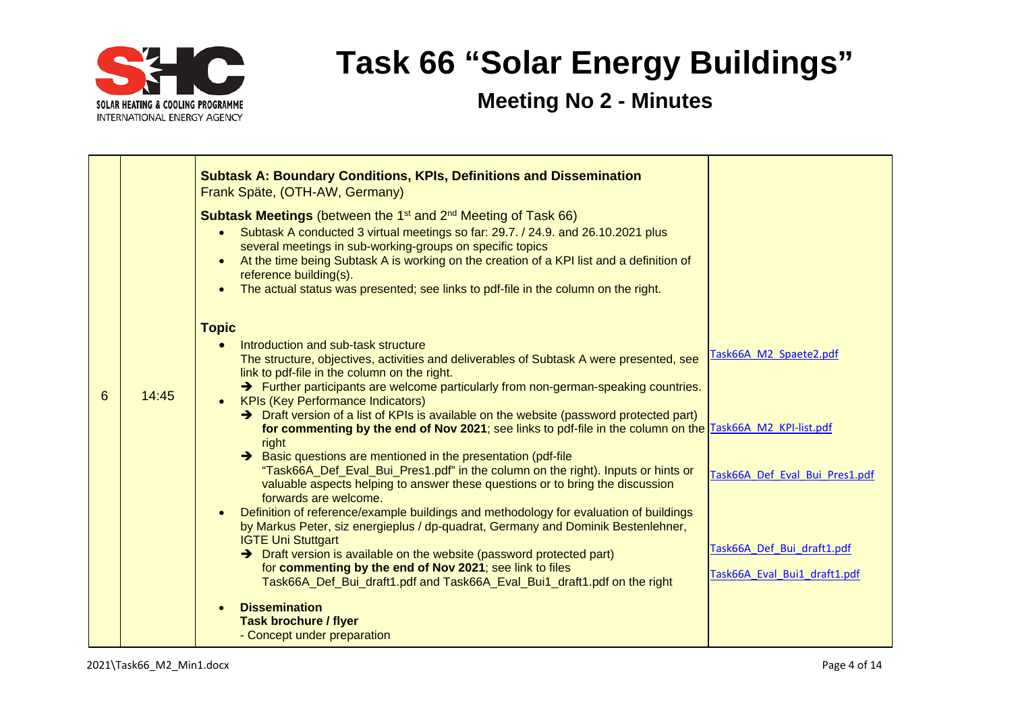

|            | <b>Subtask A: Boundary Conditions, KPIs, Definitions and Dissemination</b><br>Frank Späte, (OTH-AW, Germany)<br><b>Subtask Meetings</b> (between the 1 <sup>st</sup> and 2 <sup>nd</sup> Meeting of Task 66)<br>Subtask A conducted 3 virtual meetings so far: 29.7. / 24.9. and 26.10.2021 plus<br>$\bullet$<br>several meetings in sub-working-groups on specific topics<br>At the time being Subtask A is working on the creation of a KPI list and a definition of<br>reference building(s).                                                                                                                                                                                                                                                                                                                                                                                                                                                                                                                                                                                                                                                                                                                                                                                                                                                                                                                                    |                                                                                                                        |
|------------|-------------------------------------------------------------------------------------------------------------------------------------------------------------------------------------------------------------------------------------------------------------------------------------------------------------------------------------------------------------------------------------------------------------------------------------------------------------------------------------------------------------------------------------------------------------------------------------------------------------------------------------------------------------------------------------------------------------------------------------------------------------------------------------------------------------------------------------------------------------------------------------------------------------------------------------------------------------------------------------------------------------------------------------------------------------------------------------------------------------------------------------------------------------------------------------------------------------------------------------------------------------------------------------------------------------------------------------------------------------------------------------------------------------------------------------|------------------------------------------------------------------------------------------------------------------------|
| 6<br>14:45 | The actual status was presented; see links to pdf-file in the column on the right.<br><b>Topic</b><br>Introduction and sub-task structure<br>The structure, objectives, activities and deliverables of Subtask A were presented, see<br>link to pdf-file in the column on the right.<br>> Further participants are welcome particularly from non-german-speaking countries.<br><b>KPIs (Key Performance Indicators)</b><br>> Draft version of a list of KPIs is available on the website (password protected part)<br>for commenting by the end of Nov 2021; see links to pdf-file in the column on the Task66A M2 KPI-list.pdf<br>right<br>Basic questions are mentioned in the presentation (pdf-file<br>"Task66A_Def_Eval_Bui_Pres1.pdf" in the column on the right). Inputs or hints or<br>valuable aspects helping to answer these questions or to bring the discussion<br>forwards are welcome.<br>Definition of reference/example buildings and methodology for evaluation of buildings<br>by Markus Peter, siz energieplus / dp-quadrat, Germany and Dominik Bestenlehner,<br><b>IGTE Uni Stuttgart</b><br>$\rightarrow$ Draft version is available on the website (password protected part)<br>for commenting by the end of Nov 2021; see link to files<br>Task66A_Def_Bui_draft1.pdf and Task66A_Eval_Bui1_draft1.pdf on the right<br><b>Dissemination</b><br><b>Task brochure / flyer</b><br>- Concept under preparation | Task66A M2 Spaete2.pdf<br>Task66A Def Eval Bui Pres1.pdf<br>Task66A Def Bui draft1.pdf<br>Task66A Eval Bui1 draft1.pdf |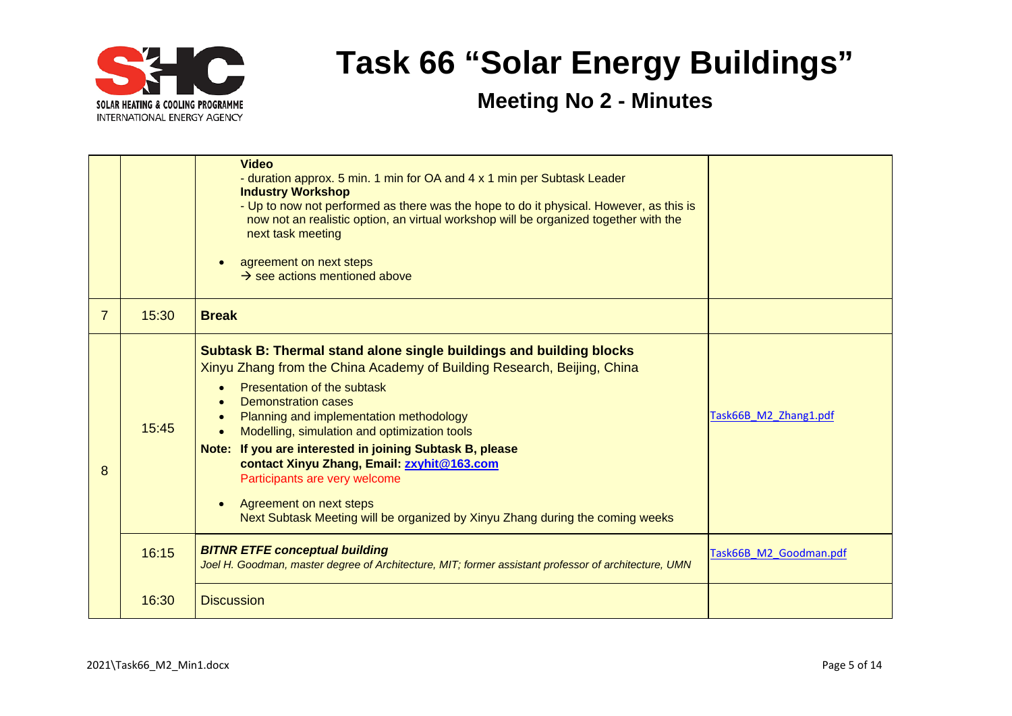

|   |       | <b>Video</b><br>- duration approx. 5 min. 1 min for OA and 4 x 1 min per Subtask Leader<br><b>Industry Workshop</b><br>- Up to now not performed as there was the hope to do it physical. However, as this is<br>now not an realistic option, an virtual workshop will be organized together with the<br>next task meeting<br>agreement on next steps<br>$\rightarrow$ see actions mentioned above                                                                                                                                                                  |                        |
|---|-------|---------------------------------------------------------------------------------------------------------------------------------------------------------------------------------------------------------------------------------------------------------------------------------------------------------------------------------------------------------------------------------------------------------------------------------------------------------------------------------------------------------------------------------------------------------------------|------------------------|
| 7 | 15:30 | <b>Break</b>                                                                                                                                                                                                                                                                                                                                                                                                                                                                                                                                                        |                        |
| 8 | 15:45 | Subtask B: Thermal stand alone single buildings and building blocks<br>Xinyu Zhang from the China Academy of Building Research, Beijing, China<br>Presentation of the subtask<br>Demonstration cases<br>Planning and implementation methodology<br>Modelling, simulation and optimization tools<br>Note: If you are interested in joining Subtask B, please<br>contact Xinyu Zhang, Email: zxyhit@163.com<br>Participants are very welcome<br>Agreement on next steps<br>$\bullet$<br>Next Subtask Meeting will be organized by Xinyu Zhang during the coming weeks | Task66B M2 Zhang1.pdf  |
|   | 16:15 | <b>BITNR ETFE conceptual building</b><br>Joel H. Goodman, master degree of Architecture, MIT; former assistant professor of architecture, UMN                                                                                                                                                                                                                                                                                                                                                                                                                       | Task66B M2 Goodman.pdf |
|   | 16:30 | <b>Discussion</b>                                                                                                                                                                                                                                                                                                                                                                                                                                                                                                                                                   |                        |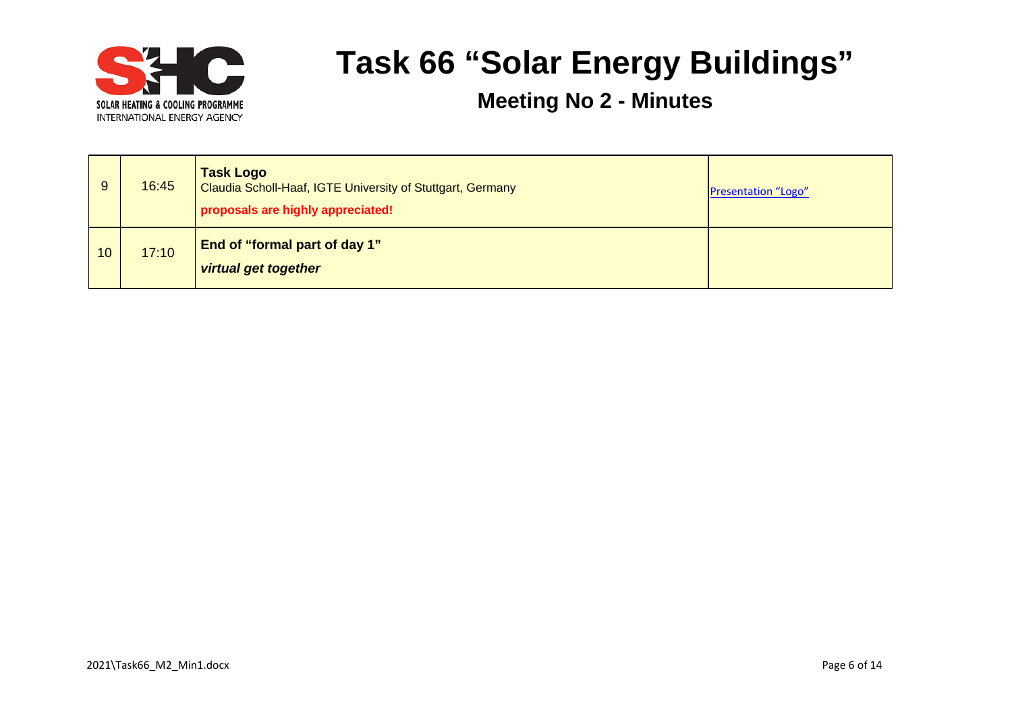

| 9               | 16:45 | <b>Task Logo</b><br>Claudia Scholl-Haaf, IGTE University of Stuttgart, Germany<br>proposals are highly appreciated! | Presentation "Logo" |
|-----------------|-------|---------------------------------------------------------------------------------------------------------------------|---------------------|
| 10 <sup>°</sup> | 17:10 | End of "formal part of day 1"<br><b>virtual get together</b>                                                        |                     |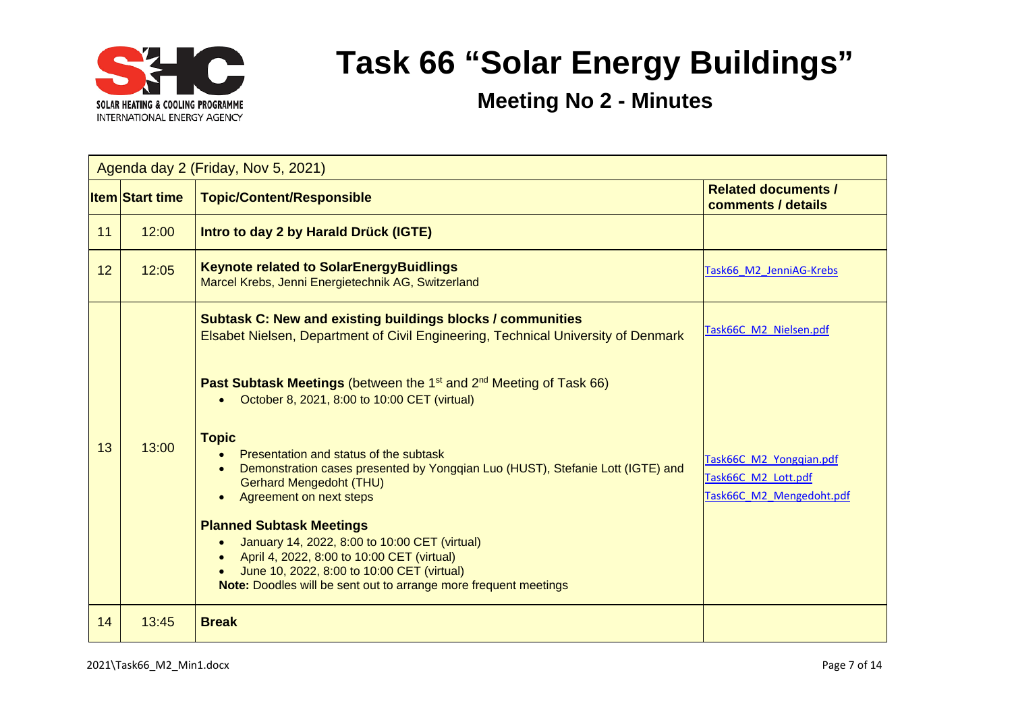

| Agenda day 2 (Friday, Nov 5, 2021) |                        |                                                                                                                                                                                                                                                                                                                                                                                                                                                                                                                                                                                                                                                                                                                                                                          |                                                                                                      |  |
|------------------------------------|------------------------|--------------------------------------------------------------------------------------------------------------------------------------------------------------------------------------------------------------------------------------------------------------------------------------------------------------------------------------------------------------------------------------------------------------------------------------------------------------------------------------------------------------------------------------------------------------------------------------------------------------------------------------------------------------------------------------------------------------------------------------------------------------------------|------------------------------------------------------------------------------------------------------|--|
|                                    | <b>Item Start time</b> | <b>Topic/Content/Responsible</b>                                                                                                                                                                                                                                                                                                                                                                                                                                                                                                                                                                                                                                                                                                                                         | <b>Related documents /</b><br>comments / details                                                     |  |
| 11                                 | 12:00                  | Intro to day 2 by Harald Drück (IGTE)                                                                                                                                                                                                                                                                                                                                                                                                                                                                                                                                                                                                                                                                                                                                    |                                                                                                      |  |
| 12                                 | 12:05                  | <b>Keynote related to SolarEnergyBuidlings</b><br>Task66 M2 JenniAG-Krebs<br>Marcel Krebs, Jenni Energietechnik AG, Switzerland                                                                                                                                                                                                                                                                                                                                                                                                                                                                                                                                                                                                                                          |                                                                                                      |  |
| 13                                 | 13:00                  | <b>Subtask C: New and existing buildings blocks / communities</b><br>Elsabet Nielsen, Department of Civil Engineering, Technical University of Denmark<br><b>Past Subtask Meetings</b> (between the 1 <sup>st</sup> and 2 <sup>nd</sup> Meeting of Task 66)<br>October 8, 2021, 8:00 to 10:00 CET (virtual)<br><b>Topic</b><br>Presentation and status of the subtask<br>Demonstration cases presented by Yongqian Luo (HUST), Stefanie Lott (IGTE) and<br><b>Gerhard Mengedoht (THU)</b><br>Agreement on next steps<br><b>Planned Subtask Meetings</b><br>January 14, 2022, 8:00 to 10:00 CET (virtual)<br>April 4, 2022, 8:00 to 10:00 CET (virtual)<br>June 10, 2022, 8:00 to 10:00 CET (virtual)<br>Note: Doodles will be sent out to arrange more frequent meetings | Task66C M2 Nielsen.pdf<br>Task66C M2 Yongqian.pdf<br>Task66C M2 Lott.pdf<br>Task66C M2 Mengedoht.pdf |  |
| 14                                 | 13:45                  | <b>Break</b>                                                                                                                                                                                                                                                                                                                                                                                                                                                                                                                                                                                                                                                                                                                                                             |                                                                                                      |  |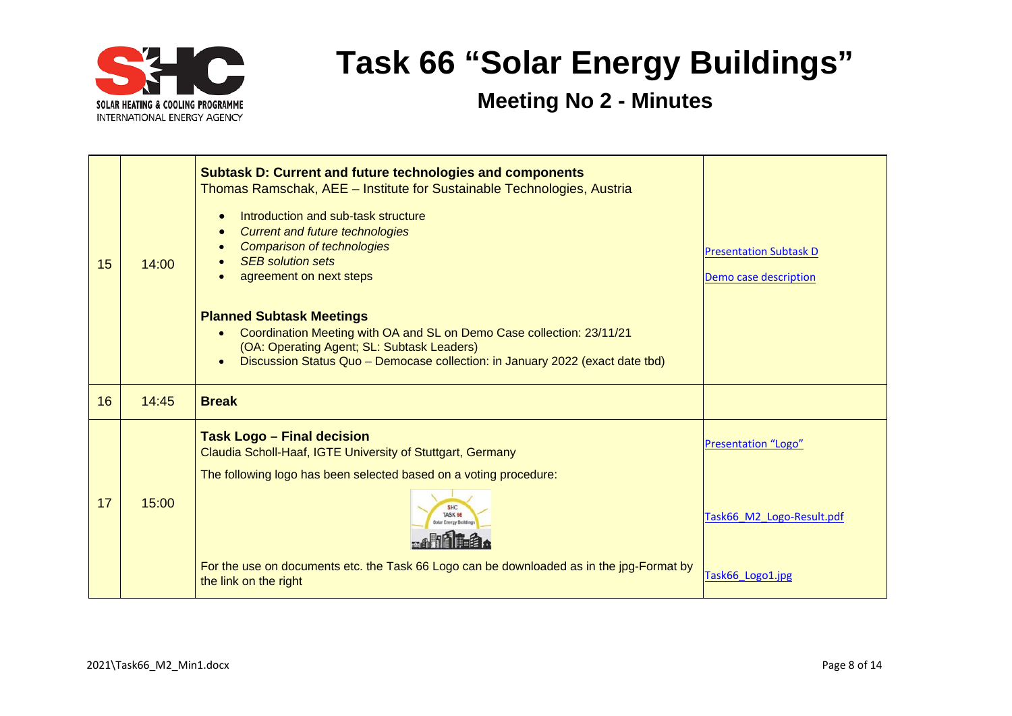

| 15 | 14:00 | <b>Subtask D: Current and future technologies and components</b><br>Thomas Ramschak, AEE - Institute for Sustainable Technologies, Austria<br>Introduction and sub-task structure<br><b>Current and future technologies</b><br><b>Comparison of technologies</b><br><b>SEB</b> solution sets<br>agreement on next steps<br><b>Planned Subtask Meetings</b><br>Coordination Meeting with OA and SL on Demo Case collection: 23/11/21<br>$\bullet$<br>(OA: Operating Agent; SL: Subtask Leaders)<br>Discussion Status Quo - Democase collection: in January 2022 (exact date tbd) | <b>Presentation Subtask D</b><br>Demo case description               |
|----|-------|---------------------------------------------------------------------------------------------------------------------------------------------------------------------------------------------------------------------------------------------------------------------------------------------------------------------------------------------------------------------------------------------------------------------------------------------------------------------------------------------------------------------------------------------------------------------------------|----------------------------------------------------------------------|
| 16 | 14:45 | <b>Break</b>                                                                                                                                                                                                                                                                                                                                                                                                                                                                                                                                                                    |                                                                      |
| 17 | 15:00 | <b>Task Logo - Final decision</b><br>Claudia Scholl-Haaf, IGTE University of Stuttgart, Germany<br>The following logo has been selected based on a voting procedure:<br>For the use on documents etc. the Task 66 Logo can be downloaded as in the jpg-Format by<br>the link on the right                                                                                                                                                                                                                                                                                       | Presentation "Logo"<br>Task66 M2 Logo-Result.pdf<br>Task66 Logo1.jpg |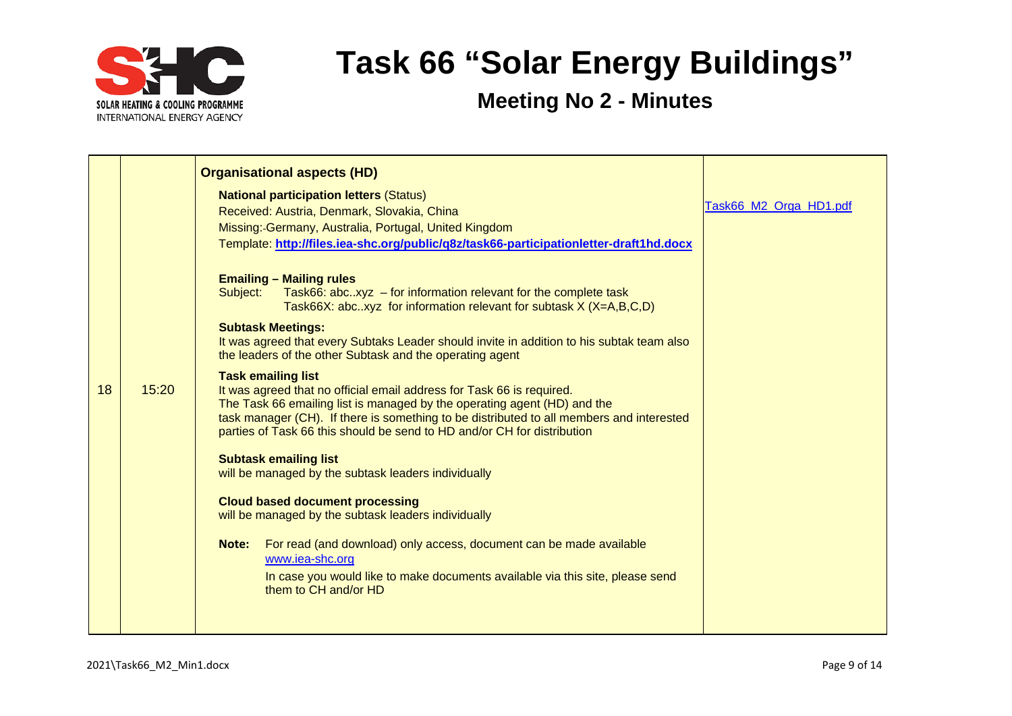

|    |       | <b>Organisational aspects (HD)</b>                                                                                                                                                                                                                                                                                                                                                                                                                                                                                                                                                                                                                                                                                                                                                                                                                                                                                                                                                             |                        |
|----|-------|------------------------------------------------------------------------------------------------------------------------------------------------------------------------------------------------------------------------------------------------------------------------------------------------------------------------------------------------------------------------------------------------------------------------------------------------------------------------------------------------------------------------------------------------------------------------------------------------------------------------------------------------------------------------------------------------------------------------------------------------------------------------------------------------------------------------------------------------------------------------------------------------------------------------------------------------------------------------------------------------|------------------------|
| 18 | 15:20 | <b>National participation letters (Status)</b><br>Received: Austria, Denmark, Slovakia, China<br>Missing: Germany, Australia, Portugal, United Kingdom<br>Template: http://files.iea-shc.org/public/q8z/task66-participationletter-draft1hd.docx<br><b>Emailing - Mailing rules</b><br>Subject:<br>Task66: abcxyz $-$ for information relevant for the complete task<br>Task66X: abcxyz for information relevant for subtask $X$ ( $X=A,B,C,D$ )<br><b>Subtask Meetings:</b><br>It was agreed that every Subtaks Leader should invite in addition to his subtak team also<br>the leaders of the other Subtask and the operating agent<br><b>Task emailing list</b><br>It was agreed that no official email address for Task 66 is required.<br>The Task 66 emailing list is managed by the operating agent (HD) and the<br>task manager (CH). If there is something to be distributed to all members and interested<br>parties of Task 66 this should be send to HD and/or CH for distribution | Task66_M2_Orga_HD1.pdf |
|    |       | <b>Subtask emailing list</b><br>will be managed by the subtask leaders individually<br><b>Cloud based document processing</b><br>will be managed by the subtask leaders individually<br>For read (and download) only access, document can be made available<br>Note:<br>www.iea-shc.org<br>In case you would like to make documents available via this site, please send<br>them to CH and/or HD                                                                                                                                                                                                                                                                                                                                                                                                                                                                                                                                                                                               |                        |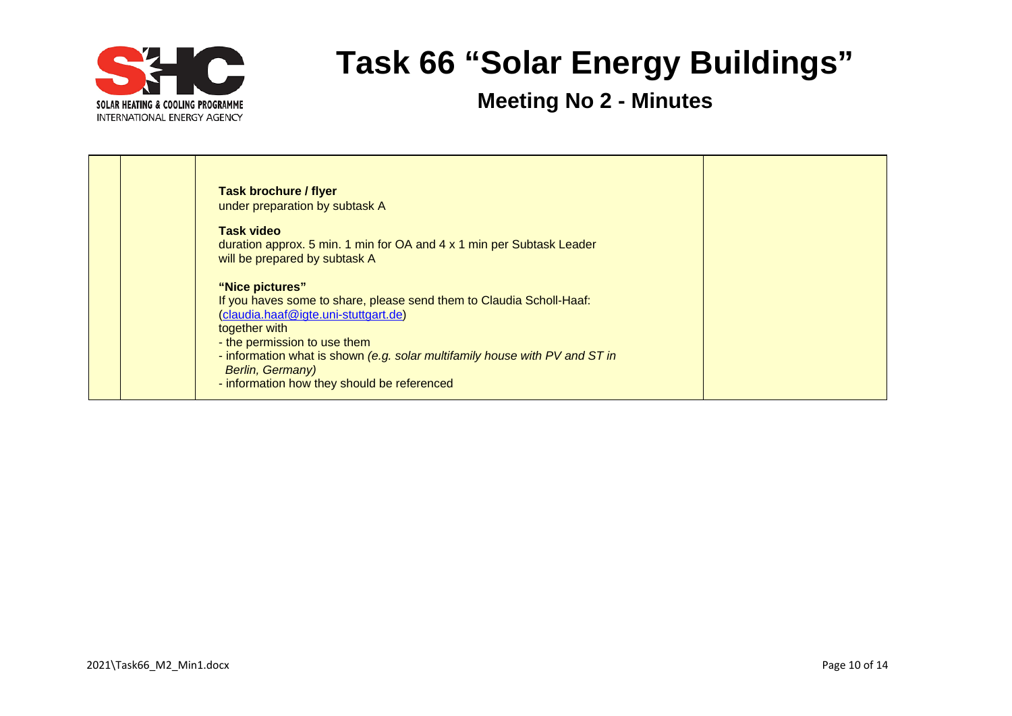

| <b>Task brochure / flyer</b><br>under preparation by subtask A                                                                                                                                                                                                                                                                     |  |
|------------------------------------------------------------------------------------------------------------------------------------------------------------------------------------------------------------------------------------------------------------------------------------------------------------------------------------|--|
| <b>Task video</b><br>duration approx. 5 min. 1 min for OA and 4 x 1 min per Subtask Leader<br>will be prepared by subtask A                                                                                                                                                                                                        |  |
| "Nice pictures"<br>If you haves some to share, please send them to Claudia Scholl-Haaf:<br>(claudia.haaf@igte.uni-stuttgart.de)<br>together with<br>- the permission to use them<br>- information what is shown (e.g. solar multifamily house with PV and ST in<br>Berlin, Germany)<br>- information how they should be referenced |  |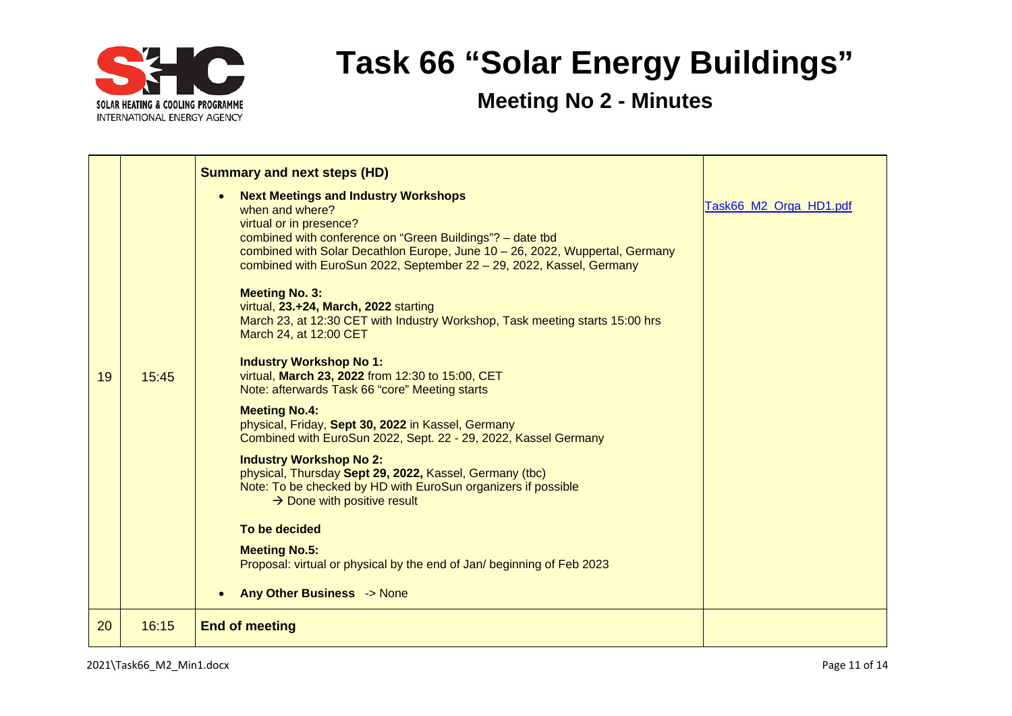

| 19 | 15:45 | <b>Summary and next steps (HD)</b><br><b>Next Meetings and Industry Workshops</b><br>when and where?<br>virtual or in presence?<br>combined with conference on "Green Buildings"? - date tbd<br>combined with Solar Decathlon Europe, June 10 - 26, 2022, Wuppertal, Germany<br>combined with EuroSun 2022, September 22 - 29, 2022, Kassel, Germany<br><b>Meeting No. 3:</b><br>virtual, 23.+24, March, 2022 starting<br>March 23, at 12:30 CET with Industry Workshop, Task meeting starts 15:00 hrs<br>March 24, at 12:00 CET<br><b>Industry Workshop No 1:</b><br>virtual, March 23, 2022 from 12:30 to 15:00, CET<br>Note: afterwards Task 66 "core" Meeting starts<br><b>Meeting No.4:</b><br>physical, Friday, Sept 30, 2022 in Kassel, Germany<br>Combined with EuroSun 2022, Sept. 22 - 29, 2022, Kassel Germany<br><b>Industry Workshop No 2:</b><br>physical, Thursday Sept 29, 2022, Kassel, Germany (tbc)<br>Note: To be checked by HD with EuroSun organizers if possible<br>$\rightarrow$ Done with positive result<br>To be decided<br><b>Meeting No.5:</b><br>Proposal: virtual or physical by the end of Jan/ beginning of Feb 2023<br><b>Any Other Business -&gt; None</b> | Task66_M2_Orga_HD1.pdf |
|----|-------|-----------------------------------------------------------------------------------------------------------------------------------------------------------------------------------------------------------------------------------------------------------------------------------------------------------------------------------------------------------------------------------------------------------------------------------------------------------------------------------------------------------------------------------------------------------------------------------------------------------------------------------------------------------------------------------------------------------------------------------------------------------------------------------------------------------------------------------------------------------------------------------------------------------------------------------------------------------------------------------------------------------------------------------------------------------------------------------------------------------------------------------------------------------------------------------------------|------------------------|
| 20 | 16:15 | <b>End of meeting</b>                                                                                                                                                                                                                                                                                                                                                                                                                                                                                                                                                                                                                                                                                                                                                                                                                                                                                                                                                                                                                                                                                                                                                                         |                        |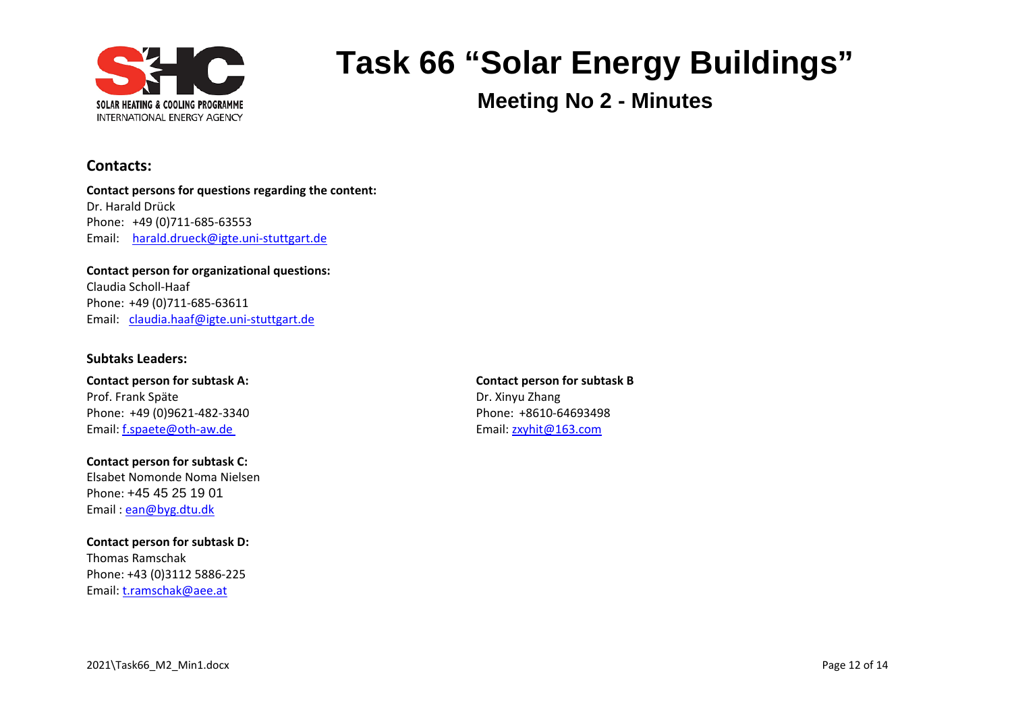

**Meeting No 2 - Minutes**

#### **Contacts:**

**Contact persons for questions regarding the content:** Dr. Harald Drück Phone: +49 (0)711-685-63553 Email: [harald.drueck@igte.uni-stuttgart.de](mailto:harald.drueck@igte.uni-stuttgart.de)

**Contact person for organizational questions:** Claudia Scholl-Haaf Phone: +49 (0)711-685-63611 Email: [claudia.haaf@igte.uni-stuttgart.de](mailto:claudia.haaf@igte.uni-stuttgart.de)

#### **Subtaks Leaders:**

**Contact person for subtask A: Contact person for subtask B** Prof. Frank Späte Dr. Xinyu Zhang Phone: +49 (0)9621-482-3340 Phone: +8610-64693498 Email: [f.spaete@oth-aw.de](mailto:f.spaete@oth-aw.de) Email: f.spaete@oth-aw.de

**Contact person for subtask C:** Elsabet Nomonde Noma Nielsen Phone: +45 45 25 19 01 Email : [ean@byg.dtu.dk](mailto:ean@byg.dtu.dk)

**Contact person for subtask D:** Thomas Ramschak Phone: +43 (0)3112 5886-225 Email: [t.ramschak@aee.at](mailto:t.ramschak@aee.at)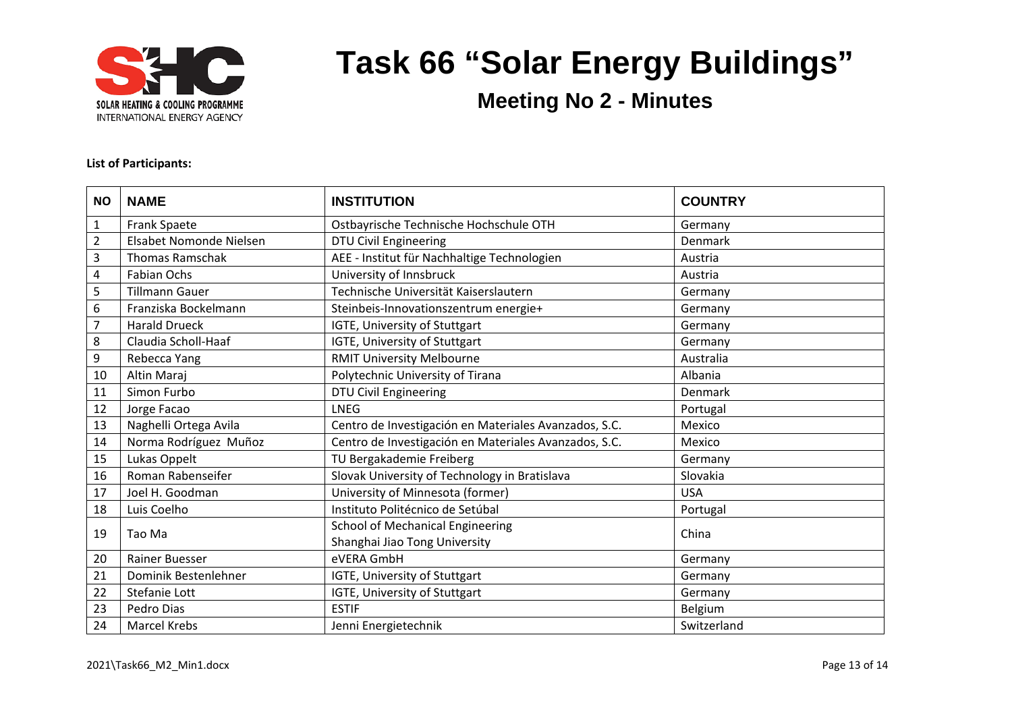

**Meeting No 2 - Minutes**

#### **List of Participants:**

| <b>NO</b>      | <b>NAME</b>             | <b>INSTITUTION</b>                                    | <b>COUNTRY</b> |
|----------------|-------------------------|-------------------------------------------------------|----------------|
| $\mathbf{1}$   | <b>Frank Spaete</b>     | Ostbayrische Technische Hochschule OTH                | Germany        |
| $\overline{2}$ | Elsabet Nomonde Nielsen | DTU Civil Engineering                                 | Denmark        |
| 3              | <b>Thomas Ramschak</b>  | AEE - Institut für Nachhaltige Technologien           | Austria        |
| 4              | <b>Fabian Ochs</b>      | University of Innsbruck                               | Austria        |
| 5              | <b>Tillmann Gauer</b>   | Technische Universität Kaiserslautern                 | Germany        |
| 6              | Franziska Bockelmann    | Steinbeis-Innovationszentrum energie+                 | Germany        |
| $\overline{7}$ | <b>Harald Drueck</b>    | IGTE, University of Stuttgart                         | Germany        |
| 8              | Claudia Scholl-Haaf     | IGTE, University of Stuttgart                         | Germany        |
| 9              | Rebecca Yang            | <b>RMIT University Melbourne</b>                      | Australia      |
| 10             | Altin Maraj             | Polytechnic University of Tirana                      | Albania        |
| 11             | Simon Furbo             | <b>DTU Civil Engineering</b>                          | Denmark        |
| 12             | Jorge Facao             | <b>LNEG</b>                                           | Portugal       |
| 13             | Naghelli Ortega Avila   | Centro de Investigación en Materiales Avanzados, S.C. | Mexico         |
| 14             | Norma Rodríguez Muñoz   | Centro de Investigación en Materiales Avanzados, S.C. | Mexico         |
| 15             | Lukas Oppelt            | TU Bergakademie Freiberg                              | Germany        |
| 16             | Roman Rabenseifer       | Slovak University of Technology in Bratislava         | Slovakia       |
| 17             | Joel H. Goodman         | University of Minnesota (former)                      | <b>USA</b>     |
| 18             | Luis Coelho             | Instituto Politécnico de Setúbal                      | Portugal       |
| 19             | Tao Ma                  | School of Mechanical Engineering                      | China          |
|                |                         | Shanghai Jiao Tong University                         |                |
| 20             | Rainer Buesser          | eVERA GmbH                                            | Germany        |
| 21             | Dominik Bestenlehner    | IGTE, University of Stuttgart                         | Germany        |
| 22             | Stefanie Lott           | IGTE, University of Stuttgart                         | Germany        |
| 23             | Pedro Dias              | <b>ESTIF</b>                                          | Belgium        |
| 24             | <b>Marcel Krebs</b>     | Jenni Energietechnik                                  | Switzerland    |